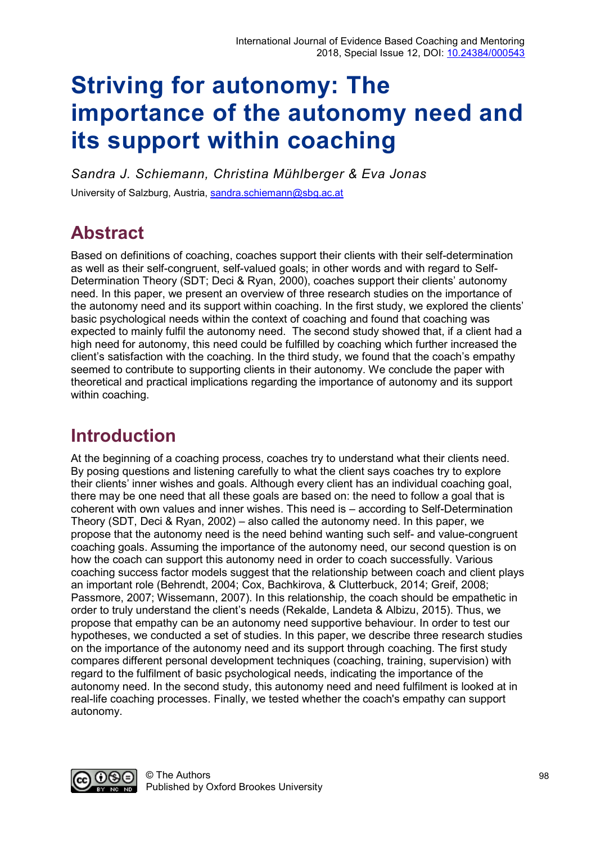# **Striving for autonomy: The importance of the autonomy need and its support within coaching**

*Sandra J. Schiemann, Christina Mühlberger & Eva Jonas* University of Salzburg, Austria, [sandra.schiemann@sbg.ac.at](mailto:sandra.schiemann@sbg.ac.at)

# **Abstract**

Based on definitions of coaching, coaches support their clients with their self-determination as well as their self-congruent, self-valued goals; in other words and with regard to Self-Determination Theory (SDT; Deci & Ryan, 2000), coaches support their clients' autonomy need. In this paper, we present an overview of three research studies on the importance of the autonomy need and its support within coaching. In the first study, we explored the clients' basic psychological needs within the context of coaching and found that coaching was expected to mainly fulfil the autonomy need. The second study showed that, if a client had a high need for autonomy, this need could be fulfilled by coaching which further increased the client's satisfaction with the coaching. In the third study, we found that the coach's empathy seemed to contribute to supporting clients in their autonomy. We conclude the paper with theoretical and practical implications regarding the importance of autonomy and its support within coaching.

# **Introduction**

At the beginning of a coaching process, coaches try to understand what their clients need. By posing questions and listening carefully to what the client says coaches try to explore their clients' inner wishes and goals. Although every client has an individual coaching goal, there may be one need that all these goals are based on: the need to follow a goal that is coherent with own values and inner wishes. This need is – according to Self-Determination Theory (SDT, Deci & Ryan, 2002) – also called the autonomy need. In this paper, we propose that the autonomy need is the need behind wanting such self- and value-congruent coaching goals. Assuming the importance of the autonomy need, our second question is on how the coach can support this autonomy need in order to coach successfully. Various coaching success factor models suggest that the relationship between coach and client plays an important role (Behrendt, 2004; Cox, Bachkirova, & Clutterbuck, 2014; Greif, 2008; Passmore, 2007; Wissemann, 2007). In this relationship, the coach should be empathetic in order to truly understand the client's needs (Rekalde, Landeta & Albizu, 2015). Thus, we propose that empathy can be an autonomy need supportive behaviour. In order to test our hypotheses, we conducted a set of studies. In this paper, we describe three research studies on the importance of the autonomy need and its support through coaching. The first study compares different personal development techniques (coaching, training, supervision) with regard to the fulfilment of basic psychological needs, indicating the importance of the autonomy need. In the second study, this autonomy need and need fulfilment is looked at in real-life coaching processes. Finally, we tested whether the coach's empathy can support autonomy.

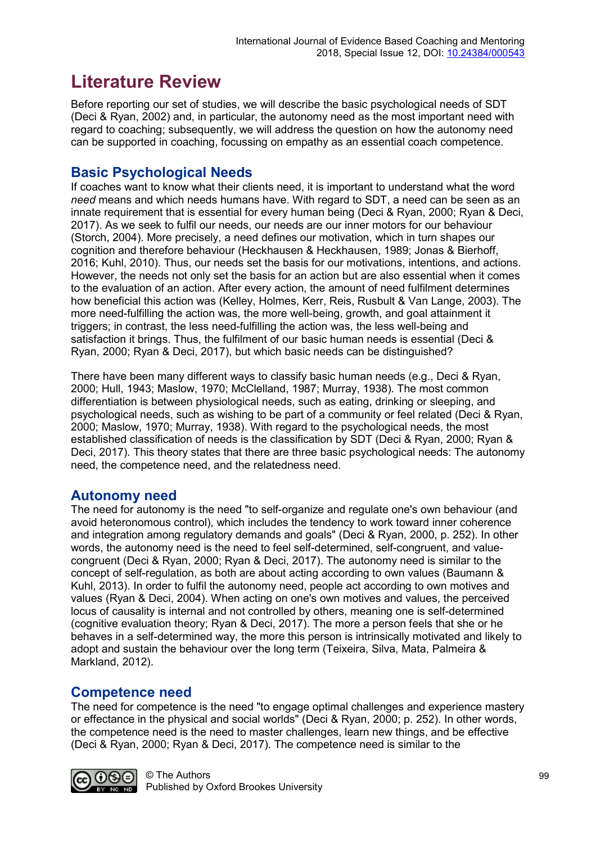# **Literature Review**

Before reporting our set of studies, we will describe the basic psychological needs of SDT (Deci & Ryan, 2002) and, in particular, the autonomy need as the most important need with regard to coaching; subsequently, we will address the question on how the autonomy need can be supported in coaching, focussing on empathy as an essential coach competence.

### **Basic Psychological Needs**

If coaches want to know what their clients need, it is important to understand what the word *need* means and which needs humans have. With regard to SDT, a need can be seen as an innate requirement that is essential for every human being (Deci & Ryan, 2000; Ryan & Deci, 2017). As we seek to fulfil our needs, our needs are our inner motors for our behaviour (Storch, 2004). More precisely, a need defines our motivation, which in turn shapes our cognition and therefore behaviour (Heckhausen & Heckhausen, 1989; Jonas & Bierhoff, 2016; Kuhl, 2010). Thus, our needs set the basis for our motivations, intentions, and actions. However, the needs not only set the basis for an action but are also essential when it comes to the evaluation of an action. After every action, the amount of need fulfilment determines how beneficial this action was (Kelley, Holmes, Kerr, Reis, Rusbult & Van Lange, 2003). The more need-fulfilling the action was, the more well-being, growth, and goal attainment it triggers; in contrast, the less need-fulfilling the action was, the less well-being and satisfaction it brings. Thus, the fulfilment of our basic human needs is essential (Deci & Ryan, 2000; Ryan & Deci, 2017), but which basic needs can be distinguished?

There have been many different ways to classify basic human needs (e.g., Deci & Ryan, 2000; Hull, 1943; Maslow, 1970; McClelland, 1987; Murray, 1938). The most common differentiation is between physiological needs, such as eating, drinking or sleeping, and psychological needs, such as wishing to be part of a community or feel related (Deci & Ryan, 2000; Maslow, 1970; Murray, 1938). With regard to the psychological needs, the most established classification of needs is the classification by SDT (Deci & Ryan, 2000; Ryan & Deci, 2017). This theory states that there are three basic psychological needs: The autonomy need, the competence need, and the relatedness need.

### **Autonomy need**

The need for autonomy is the need "to self-organize and regulate one's own behaviour (and avoid heteronomous control), which includes the tendency to work toward inner coherence and integration among regulatory demands and goals" (Deci & Ryan, 2000, p. 252). In other words, the autonomy need is the need to feel self-determined, self-congruent, and valuecongruent (Deci & Ryan, 2000; Ryan & Deci, 2017). The autonomy need is similar to the concept of self-regulation, as both are about acting according to own values (Baumann & Kuhl, 2013). In order to fulfil the autonomy need, people act according to own motives and values (Ryan & Deci, 2004). When acting on one's own motives and values, the perceived locus of causality is internal and not controlled by others, meaning one is self-determined (cognitive evaluation theory; Ryan & Deci, 2017). The more a person feels that she or he behaves in a self-determined way, the more this person is intrinsically motivated and likely to adopt and sustain the behaviour over the long term (Teixeira, Silva, Mata, Palmeira & Markland, 2012).

### **Competence need**

The need for competence is the need "to engage optimal challenges and experience mastery or effectance in the physical and social worlds" (Deci & Ryan, 2000; p. 252). In other words, the competence need is the need to master challenges, learn new things, and be effective (Deci & Ryan, 2000; Ryan & Deci, 2017). The competence need is similar to the

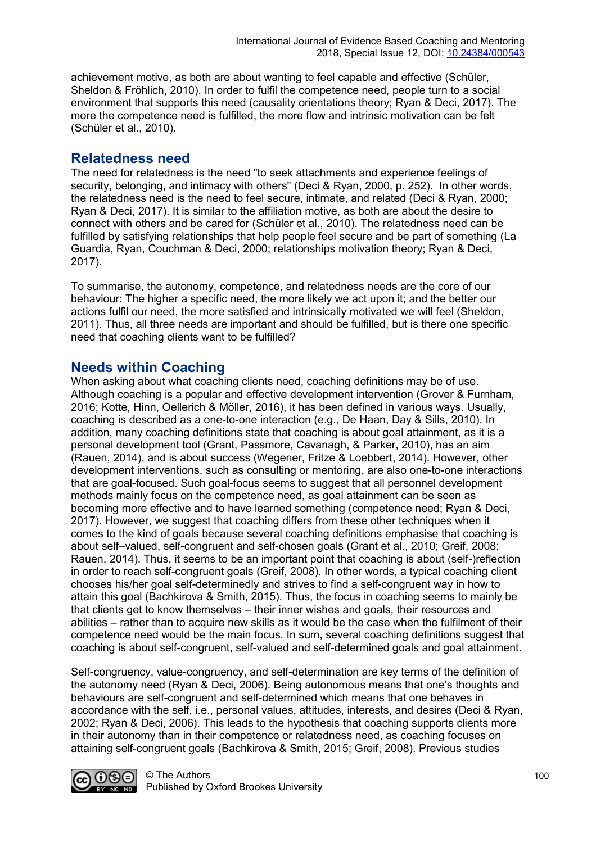achievement motive, as both are about wanting to feel capable and effective (Schüler, Sheldon & Fröhlich, 2010). In order to fulfil the competence need, people turn to a social environment that supports this need (causality orientations theory; Ryan & Deci, 2017). The more the competence need is fulfilled, the more flow and intrinsic motivation can be felt (Schüler et al., 2010).

#### **Relatedness need**

The need for relatedness is the need "to seek attachments and experience feelings of security, belonging, and intimacy with others" (Deci & Ryan, 2000, p. 252). In other words, the relatedness need is the need to feel secure, intimate, and related (Deci & Ryan, 2000; Ryan & Deci, 2017). It is similar to the affiliation motive, as both are about the desire to connect with others and be cared for (Schüler et al., 2010). The relatedness need can be fulfilled by satisfying relationships that help people feel secure and be part of something (La Guardia, Ryan, Couchman & Deci, 2000; relationships motivation theory; Ryan & Deci, 2017).

To summarise, the autonomy, competence, and relatedness needs are the core of our behaviour: The higher a specific need, the more likely we act upon it; and the better our actions fulfil our need, the more satisfied and intrinsically motivated we will feel (Sheldon, 2011). Thus, all three needs are important and should be fulfilled, but is there one specific need that coaching clients want to be fulfilled?

#### **Needs within Coaching**

When asking about what coaching clients need, coaching definitions may be of use. Although coaching is a popular and effective development intervention (Grover & Furnham, 2016; Kotte, Hinn, Oellerich & Möller, 2016), it has been defined in various ways. Usually, coaching is described as a one-to-one interaction (e.g., De Haan, Day & Sills, 2010). In addition, many coaching definitions state that coaching is about goal attainment, as it is a personal development tool (Grant, Passmore, Cavanagh, & Parker, 2010), has an aim (Rauen, 2014), and is about success (Wegener, Fritze & Loebbert, 2014). However, other development interventions, such as consulting or mentoring, are also one-to-one interactions that are goal-focused. Such goal-focus seems to suggest that all personnel development methods mainly focus on the competence need, as goal attainment can be seen as becoming more effective and to have learned something (competence need; Ryan & Deci, 2017). However, we suggest that coaching differs from these other techniques when it comes to the kind of goals because several coaching definitions emphasise that coaching is about self–valued, self-congruent and self-chosen goals (Grant et al., 2010; Greif, 2008; Rauen, 2014). Thus, it seems to be an important point that coaching is about (self-)reflection in order to reach self-congruent goals (Greif, 2008). In other words, a typical coaching client chooses his/her goal self-determinedly and strives to find a self-congruent way in how to attain this goal (Bachkirova & Smith, 2015). Thus, the focus in coaching seems to mainly be that clients get to know themselves – their inner wishes and goals, their resources and abilities – rather than to acquire new skills as it would be the case when the fulfilment of their competence need would be the main focus. In sum, several coaching definitions suggest that coaching is about self-congruent, self-valued and self-determined goals and goal attainment.

Self-congruency, value-congruency, and self-determination are key terms of the definition of the autonomy need (Ryan & Deci, 2006). Being autonomous means that one's thoughts and behaviours are self-congruent and self-determined which means that one behaves in accordance with the self, i.e., personal values, attitudes, interests, and desires (Deci & Ryan, 2002; Ryan & Deci, 2006). This leads to the hypothesis that coaching supports clients more in their autonomy than in their competence or relatedness need, as coaching focuses on attaining self-congruent goals (Bachkirova & Smith, 2015; Greif, 2008). Previous studies

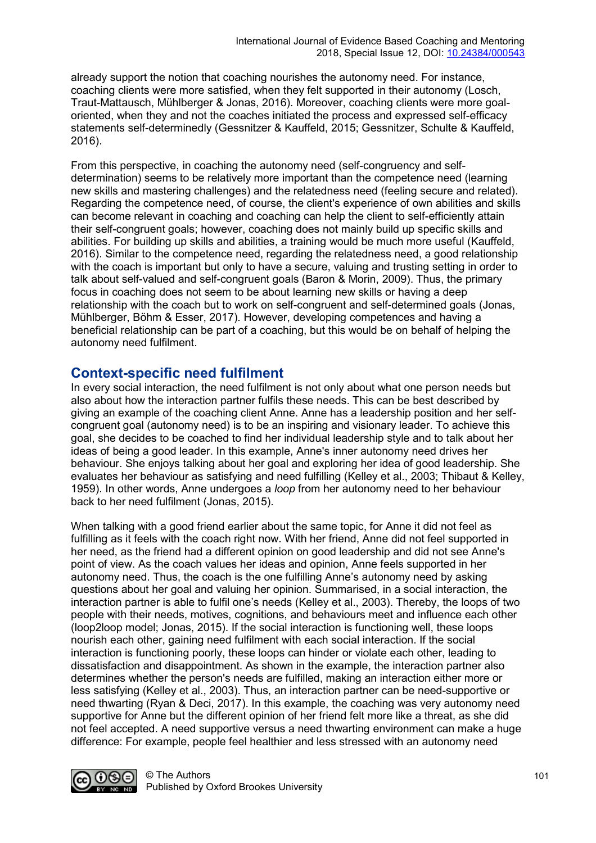already support the notion that coaching nourishes the autonomy need. For instance, coaching clients were more satisfied, when they felt supported in their autonomy (Losch, Traut-Mattausch, Mühlberger & Jonas, 2016). Moreover, coaching clients were more goaloriented, when they and not the coaches initiated the process and expressed self-efficacy statements self-determinedly (Gessnitzer & Kauffeld, 2015; Gessnitzer, Schulte & Kauffeld, 2016).

From this perspective, in coaching the autonomy need (self-congruency and selfdetermination) seems to be relatively more important than the competence need (learning new skills and mastering challenges) and the relatedness need (feeling secure and related). Regarding the competence need, of course, the client's experience of own abilities and skills can become relevant in coaching and coaching can help the client to self-efficiently attain their self-congruent goals; however, coaching does not mainly build up specific skills and abilities. For building up skills and abilities, a training would be much more useful (Kauffeld, 2016). Similar to the competence need, regarding the relatedness need, a good relationship with the coach is important but only to have a secure, valuing and trusting setting in order to talk about self-valued and self-congruent goals (Baron & Morin, 2009). Thus, the primary focus in coaching does not seem to be about learning new skills or having a deep relationship with the coach but to work on self-congruent and self-determined goals (Jonas, Mühlberger, Böhm & Esser, 2017). However, developing competences and having a beneficial relationship can be part of a coaching, but this would be on behalf of helping the autonomy need fulfilment.

#### **Context-specific need fulfilment**

In every social interaction, the need fulfilment is not only about what one person needs but also about how the interaction partner fulfils these needs. This can be best described by giving an example of the coaching client Anne. Anne has a leadership position and her selfcongruent goal (autonomy need) is to be an inspiring and visionary leader. To achieve this goal, she decides to be coached to find her individual leadership style and to talk about her ideas of being a good leader. In this example, Anne's inner autonomy need drives her behaviour. She enjoys talking about her goal and exploring her idea of good leadership. She evaluates her behaviour as satisfying and need fulfilling (Kelley et al., 2003; Thibaut & Kelley, 1959). In other words, Anne undergoes a *loop* from her autonomy need to her behaviour back to her need fulfilment (Jonas, 2015).

When talking with a good friend earlier about the same topic, for Anne it did not feel as fulfilling as it feels with the coach right now. With her friend, Anne did not feel supported in her need, as the friend had a different opinion on good leadership and did not see Anne's point of view. As the coach values her ideas and opinion, Anne feels supported in her autonomy need. Thus, the coach is the one fulfilling Anne's autonomy need by asking questions about her goal and valuing her opinion. Summarised, in a social interaction, the interaction partner is able to fulfil one's needs (Kelley et al., 2003). Thereby, the loops of two people with their needs, motives, cognitions, and behaviours meet and influence each other (loop2loop model; Jonas, 2015). If the social interaction is functioning well, these loops nourish each other, gaining need fulfilment with each social interaction. If the social interaction is functioning poorly, these loops can hinder or violate each other, leading to dissatisfaction and disappointment. As shown in the example, the interaction partner also determines whether the person's needs are fulfilled, making an interaction either more or less satisfying (Kelley et al., 2003). Thus, an interaction partner can be need-supportive or need thwarting (Ryan & Deci, 2017). In this example, the coaching was very autonomy need supportive for Anne but the different opinion of her friend felt more like a threat, as she did not feel accepted. A need supportive versus a need thwarting environment can make a huge difference: For example, people feel healthier and less stressed with an autonomy need

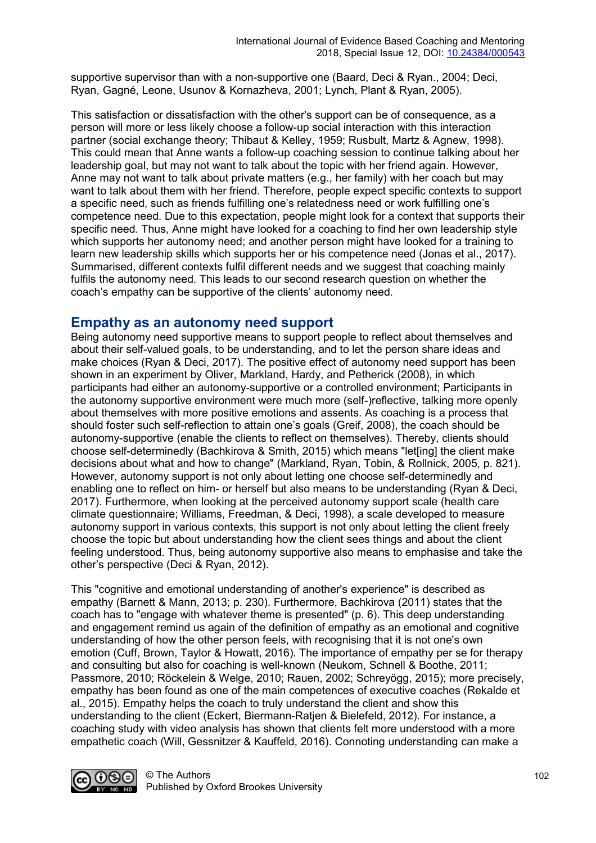supportive supervisor than with a non-supportive one (Baard, Deci & Ryan., 2004; Deci, Ryan, Gagné, Leone, Usunov & Kornazheva, 2001; Lynch, Plant & Ryan, 2005).

This satisfaction or dissatisfaction with the other's support can be of consequence, as a person will more or less likely choose a follow-up social interaction with this interaction partner (social exchange theory; Thibaut & Kelley, 1959; Rusbult, Martz & Agnew, 1998). This could mean that Anne wants a follow-up coaching session to continue talking about her leadership goal, but may not want to talk about the topic with her friend again. However, Anne may not want to talk about private matters (e.g., her family) with her coach but may want to talk about them with her friend. Therefore, people expect specific contexts to support a specific need, such as friends fulfilling one's relatedness need or work fulfilling one's competence need. Due to this expectation, people might look for a context that supports their specific need. Thus, Anne might have looked for a coaching to find her own leadership style which supports her autonomy need; and another person might have looked for a training to learn new leadership skills which supports her or his competence need (Jonas et al., 2017). Summarised, different contexts fulfil different needs and we suggest that coaching mainly fulfils the autonomy need. This leads to our second research question on whether the coach's empathy can be supportive of the clients' autonomy need.

#### **Empathy as an autonomy need support**

Being autonomy need supportive means to support people to reflect about themselves and about their self-valued goals, to be understanding, and to let the person share ideas and make choices (Ryan & Deci, 2017). The positive effect of autonomy need support has been shown in an experiment by Oliver, Markland, Hardy, and Petherick (2008), in which participants had either an autonomy-supportive or a controlled environment; Participants in the autonomy supportive environment were much more (self-)reflective, talking more openly about themselves with more positive emotions and assents. As coaching is a process that should foster such self-reflection to attain one's goals (Greif, 2008), the coach should be autonomy-supportive (enable the clients to reflect on themselves). Thereby, clients should choose self-determinedly (Bachkirova & Smith, 2015) which means "let[ing] the client make decisions about what and how to change" (Markland, Ryan, Tobin, & Rollnick, 2005, p. 821). However, autonomy support is not only about letting one choose self-determinedly and enabling one to reflect on him- or herself but also means to be understanding (Ryan & Deci, 2017). Furthermore, when looking at the perceived autonomy support scale (health care climate questionnaire; Williams, Freedman, & Deci, 1998), a scale developed to measure autonomy support in various contexts, this support is not only about letting the client freely choose the topic but about understanding how the client sees things and about the client feeling understood. Thus, being autonomy supportive also means to emphasise and take the other's perspective (Deci & Ryan, 2012).

This "cognitive and emotional understanding of another's experience" is described as empathy (Barnett & Mann, 2013; p. 230). Furthermore, Bachkirova (2011) states that the coach has to "engage with whatever theme is presented" (p. 6). This deep understanding and engagement remind us again of the definition of empathy as an emotional and cognitive understanding of how the other person feels, with recognising that it is not one's own emotion (Cuff, Brown, Taylor & Howatt, 2016). The importance of empathy per se for therapy and consulting but also for coaching is well-known (Neukom, Schnell & Boothe, 2011; Passmore, 2010; Röckelein & Welge, 2010; Rauen, 2002; Schreyögg, 2015); more precisely, empathy has been found as one of the main competences of executive coaches (Rekalde et al., 2015). Empathy helps the coach to truly understand the client and show this understanding to the client (Eckert, Biermann-Ratjen & Bielefeld, 2012). For instance, a coaching study with video analysis has shown that clients felt more understood with a more empathetic coach (Will, Gessnitzer & Kauffeld, 2016). Connoting understanding can make a

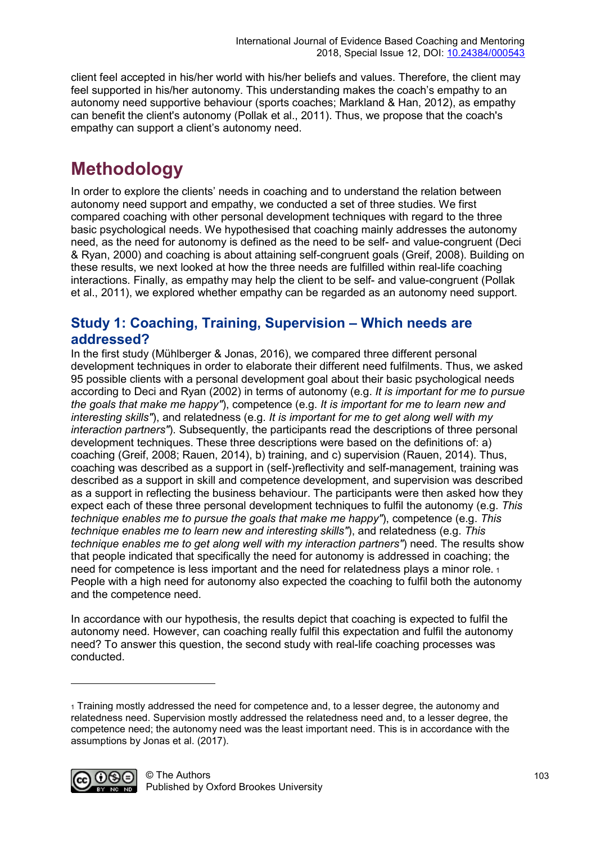client feel accepted in his/her world with his/her beliefs and values. Therefore, the client may feel supported in his/her autonomy. This understanding makes the coach's empathy to an autonomy need supportive behaviour (sports coaches; Markland & Han, 2012), as empathy can benefit the client's autonomy (Pollak et al., 2011). Thus, we propose that the coach's empathy can support a client's autonomy need.

# **Methodology**

In order to explore the clients' needs in coaching and to understand the relation between autonomy need support and empathy, we conducted a set of three studies. We first compared coaching with other personal development techniques with regard to the three basic psychological needs. We hypothesised that coaching mainly addresses the autonomy need, as the need for autonomy is defined as the need to be self- and value-congruent (Deci & Ryan, 2000) and coaching is about attaining self-congruent goals (Greif, 2008). Building on these results, we next looked at how the three needs are fulfilled within real-life coaching interactions. Finally, as empathy may help the client to be self- and value-congruent (Pollak et al., 2011), we explored whether empathy can be regarded as an autonomy need support.

### **Study 1: Coaching, Training, Supervision – Which needs are addressed?**

In the first study (Mühlberger & Jonas, 2016), we compared three different personal development techniques in order to elaborate their different need fulfilments. Thus, we asked 95 possible clients with a personal development goal about their basic psychological needs according to Deci and Ryan (2002) in terms of autonomy (e.g. *It is important for me to pursue the goals that make me happy"*), competence (e.g. *It is important for me to learn new and interesting skills"*), and relatedness (e.g. *It is important for me to get along well with my interaction partners"*). Subsequently, the participants read the descriptions of three personal development techniques. These three descriptions were based on the definitions of: a) coaching (Greif, 2008; Rauen, 2014), b) training, and c) supervision (Rauen, 2014). Thus, coaching was described as a support in (self-)reflectivity and self-management, training was described as a support in skill and competence development, and supervision was described as a support in reflecting the business behaviour. The participants were then asked how they expect each of these three personal development techniques to fulfil the autonomy (e.g. *This technique enables me to pursue the goals that make me happy"*), competence (e.g. *This technique enables me to learn new and interesting skills"*), and relatedness (e.g. *This technique enables me to get along well with my interaction partners"*) need. The results show that people indicated that specifically the need for autonomy is addressed in coaching; the need for competence is less important and the need for relatedness plays a minor role. [1](#page-5-0) People with a high need for autonomy also expected the coaching to fulfil both the autonomy and the competence need.

In accordance with our hypothesis, the results depict that coaching is expected to fulfil the autonomy need. However, can coaching really fulfil this expectation and fulfil the autonomy need? To answer this question, the second study with real-life coaching processes was conducted.

<span id="page-5-0"></span><sup>1</sup> Training mostly addressed the need for competence and, to a lesser degree, the autonomy and relatedness need. Supervision mostly addressed the relatedness need and, to a lesser degree, the competence need; the autonomy need was the least important need. This is in accordance with the assumptions by Jonas et al. (2017).



-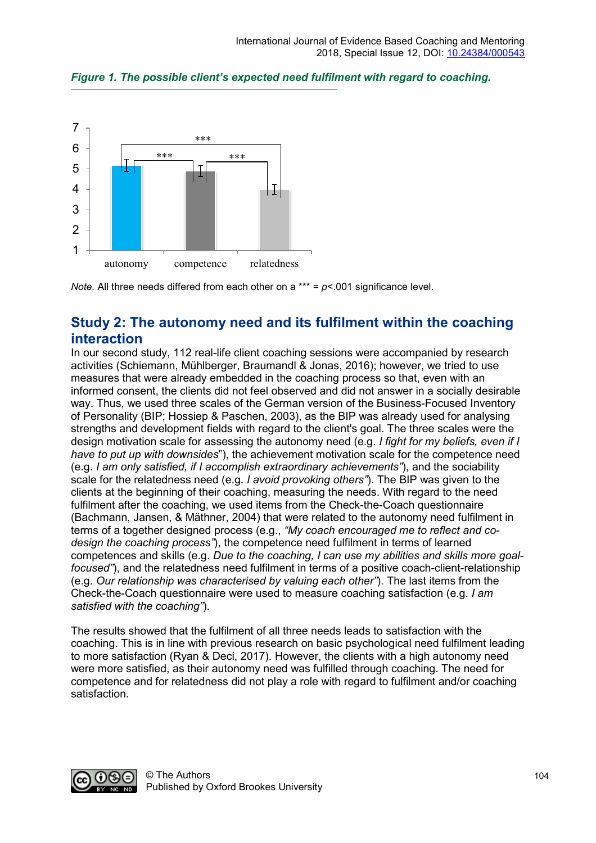

*Figure 1. The possible client's expected need fulfilment with regard to coaching.*

*Note.* All three needs differed from each other on a \*\*\* = *p*<.001 significance level.

### **Study 2: The autonomy need and its fulfilment within the coaching interaction**

In our second study, 112 real-life client coaching sessions were accompanied by research activities (Schiemann, Mühlberger, Braumandl & Jonas, 2016); however, we tried to use measures that were already embedded in the coaching process so that, even with an informed consent, the clients did not feel observed and did not answer in a socially desirable way. Thus, we used three scales of the German version of the Business-Focused Inventory of Personality (BIP; Hossiep & Paschen, 2003), as the BIP was already used for analysing strengths and development fields with regard to the client's goal. The three scales were the design motivation scale for assessing the autonomy need (e.g. *I fight for my beliefs, even if I have to put up with downsides*"), the achievement motivation scale for the competence need (e.g. *I am only satisfied, if I accomplish extraordinary achievements"*), and the sociability scale for the relatedness need (e.g. *I avoid provoking others"*). The BIP was given to the clients at the beginning of their coaching, measuring the needs. With regard to the need fulfilment after the coaching, we used items from the Check-the-Coach questionnaire (Bachmann, Jansen, & Mäthner, 2004) that were related to the autonomy need fulfilment in terms of a together designed process (e.g., *"My coach encouraged me to reflect and codesign the coaching process"*), the competence need fulfilment in terms of learned competences and skills (e.g. *Due to the coaching, I can use my abilities and skills more goalfocused"*), and the relatedness need fulfilment in terms of a positive coach-client-relationship (e.g. *Our relationship was characterised by valuing each other"*). The last items from the Check-the-Coach questionnaire were used to measure coaching satisfaction (e.g. *I am satisfied with the coaching"*).

The results showed that the fulfilment of all three needs leads to satisfaction with the coaching. This is in line with previous research on basic psychological need fulfilment leading to more satisfaction (Ryan & Deci, 2017). However, the clients with a high autonomy need were more satisfied, as their autonomy need was fulfilled through coaching. The need for competence and for relatedness did not play a role with regard to fulfilment and/or coaching satisfaction.

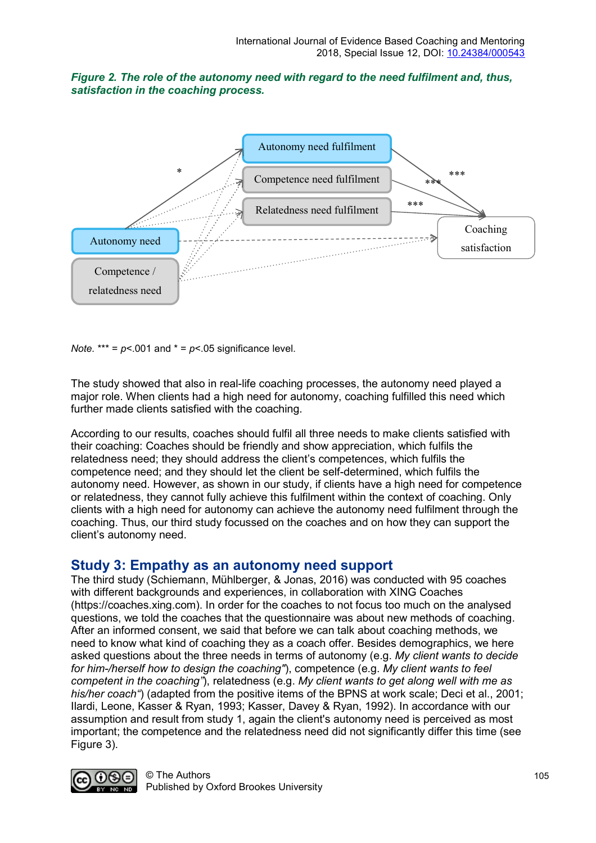



*Note.*  $*** = p < .001$  and  $* = p < .05$  significance level.

The study showed that also in real-life coaching processes, the autonomy need played a major role. When clients had a high need for autonomy, coaching fulfilled this need which further made clients satisfied with the coaching.

According to our results, coaches should fulfil all three needs to make clients satisfied with their coaching: Coaches should be friendly and show appreciation, which fulfils the relatedness need; they should address the client's competences, which fulfils the competence need; and they should let the client be self-determined, which fulfils the autonomy need. However, as shown in our study, if clients have a high need for competence or relatedness, they cannot fully achieve this fulfilment within the context of coaching. Only clients with a high need for autonomy can achieve the autonomy need fulfilment through the coaching. Thus, our third study focussed on the coaches and on how they can support the client's autonomy need.

#### **Study 3: Empathy as an autonomy need support**

The third study (Schiemann, Mühlberger, & Jonas, 2016) was conducted with 95 coaches with different backgrounds and experiences, in collaboration with XING Coaches (https://coaches.xing.com). In order for the coaches to not focus too much on the analysed questions, we told the coaches that the questionnaire was about new methods of coaching. After an informed consent, we said that before we can talk about coaching methods, we need to know what kind of coaching they as a coach offer. Besides demographics, we here asked questions about the three needs in terms of autonomy (e.g. *My client wants to decide for him-/herself how to design the coaching"*), competence (e.g. *My client wants to feel competent in the coaching"*), relatedness (e.g. *My client wants to get along well with me as his/her coach"*) (adapted from the positive items of the BPNS at work scale; Deci et al., 2001; Ilardi, Leone, Kasser & Ryan, 1993; Kasser, Davey & Ryan, 1992). In accordance with our assumption and result from study 1, again the client's autonomy need is perceived as most important; the competence and the relatedness need did not significantly differ this time (see Figure 3).

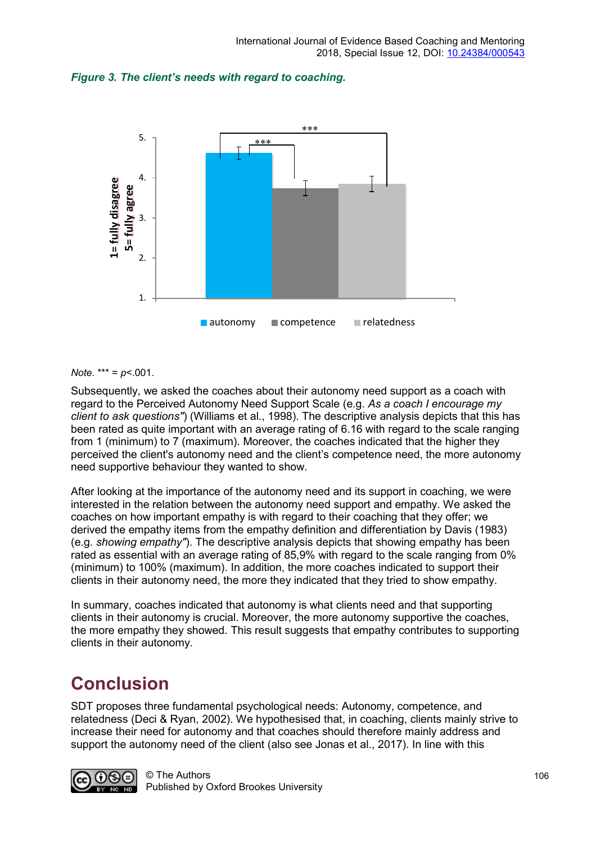



#### *Note.* \*\*\* = *p*<.001.

Subsequently, we asked the coaches about their autonomy need support as a coach with regard to the Perceived Autonomy Need Support Scale (e.g. *As a coach I encourage my client to ask questions"*) (Williams et al., 1998). The descriptive analysis depicts that this has been rated as quite important with an average rating of 6.16 with regard to the scale ranging from 1 (minimum) to 7 (maximum). Moreover, the coaches indicated that the higher they perceived the client's autonomy need and the client's competence need, the more autonomy need supportive behaviour they wanted to show.

After looking at the importance of the autonomy need and its support in coaching, we were interested in the relation between the autonomy need support and empathy. We asked the coaches on how important empathy is with regard to their coaching that they offer; we derived the empathy items from the empathy definition and differentiation by Davis (1983) (e.g. *showing empathy"*). The descriptive analysis depicts that showing empathy has been rated as essential with an average rating of 85,9% with regard to the scale ranging from 0% (minimum) to 100% (maximum). In addition, the more coaches indicated to support their clients in their autonomy need, the more they indicated that they tried to show empathy.

In summary, coaches indicated that autonomy is what clients need and that supporting clients in their autonomy is crucial. Moreover, the more autonomy supportive the coaches, the more empathy they showed. This result suggests that empathy contributes to supporting clients in their autonomy.

### **Conclusion**

SDT proposes three fundamental psychological needs: Autonomy, competence, and relatedness (Deci & Ryan, 2002). We hypothesised that, in coaching, clients mainly strive to increase their need for autonomy and that coaches should therefore mainly address and support the autonomy need of the client (also see Jonas et al., 2017). In line with this

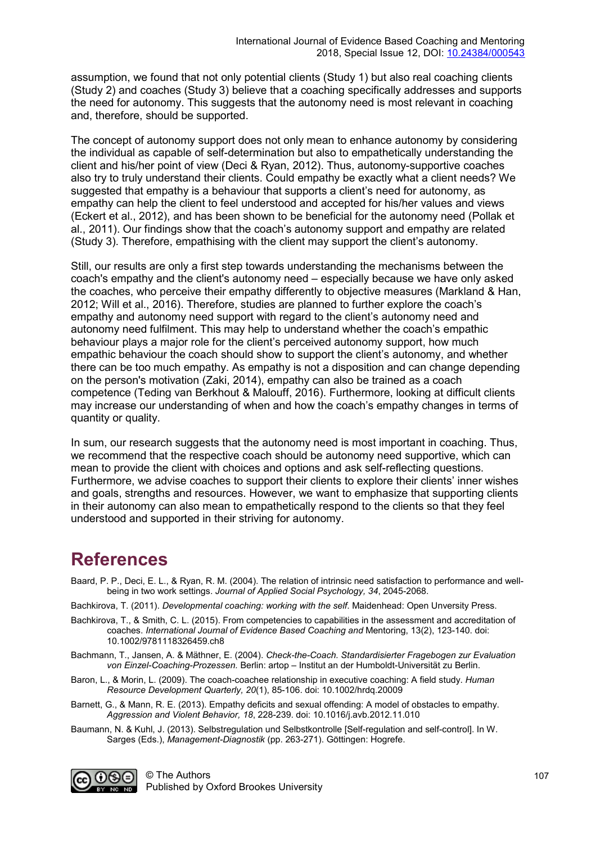assumption, we found that not only potential clients (Study 1) but also real coaching clients (Study 2) and coaches (Study 3) believe that a coaching specifically addresses and supports the need for autonomy. This suggests that the autonomy need is most relevant in coaching and, therefore, should be supported.

The concept of autonomy support does not only mean to enhance autonomy by considering the individual as capable of self-determination but also to empathetically understanding the client and his/her point of view (Deci & Ryan, 2012). Thus, autonomy-supportive coaches also try to truly understand their clients. Could empathy be exactly what a client needs? We suggested that empathy is a behaviour that supports a client's need for autonomy, as empathy can help the client to feel understood and accepted for his/her values and views (Eckert et al., 2012), and has been shown to be beneficial for the autonomy need (Pollak et al., 2011). Our findings show that the coach's autonomy support and empathy are related (Study 3). Therefore, empathising with the client may support the client's autonomy.

Still, our results are only a first step towards understanding the mechanisms between the coach's empathy and the client's autonomy need – especially because we have only asked the coaches, who perceive their empathy differently to objective measures (Markland & Han, 2012; Will et al., 2016). Therefore, studies are planned to further explore the coach's empathy and autonomy need support with regard to the client's autonomy need and autonomy need fulfilment. This may help to understand whether the coach's empathic behaviour plays a major role for the client's perceived autonomy support, how much empathic behaviour the coach should show to support the client's autonomy, and whether there can be too much empathy. As empathy is not a disposition and can change depending on the person's motivation (Zaki, 2014), empathy can also be trained as a coach competence (Teding van Berkhout & Malouff, 2016). Furthermore, looking at difficult clients may increase our understanding of when and how the coach's empathy changes in terms of quantity or quality.

In sum, our research suggests that the autonomy need is most important in coaching. Thus, we recommend that the respective coach should be autonomy need supportive, which can mean to provide the client with choices and options and ask self-reflecting questions. Furthermore, we advise coaches to support their clients to explore their clients' inner wishes and goals, strengths and resources. However, we want to emphasize that supporting clients in their autonomy can also mean to empathetically respond to the clients so that they feel understood and supported in their striving for autonomy.

# **References**

Baard, P. P., Deci, E. L., & Ryan, R. M. (2004). The relation of intrinsic need satisfaction to performance and wellbeing in two work settings. *Journal of Applied Social Psychology, 34*, 2045-2068.

Bachkirova, T. (2011). *Developmental coaching: working with the self*. Maidenhead: Open Unversity Press.

- Bachkirova, T., & Smith, C. L. (2015). From competencies to capabilities in the assessment and accreditation of coaches. *International Journal of Evidence Based Coaching and* Mentoring, 13(2), 123-140. doi: 10.1002/9781118326459.ch8
- Bachmann, T., Jansen, A. & Mäthner, E. (2004). *Check-the-Coach. Standardisierter Fragebogen zur Evaluation von Einzel-Coaching-Prozessen.* Berlin: artop – Institut an der Humboldt-Universität zu Berlin.
- Baron, L., & Morin, L. (2009). The coach-coachee relationship in executive coaching: A field study. *Human Resource Development Quarterly, 20*(1), 85-106. doi: 10.1002/hrdq.20009
- Barnett, G., & Mann, R. E. (2013). Empathy deficits and sexual offending: A model of obstacles to empathy. *Aggression and Violent Behavior, 18*, 228-239. doi: 10.1016/j.avb.2012.11.010
- Baumann, N. & Kuhl, J. (2013). Selbstregulation und Selbstkontrolle [Self-regulation and self-control]. In W. Sarges (Eds.), *Management-Diagnostik* (pp. 263-271). Göttingen: Hogrefe.

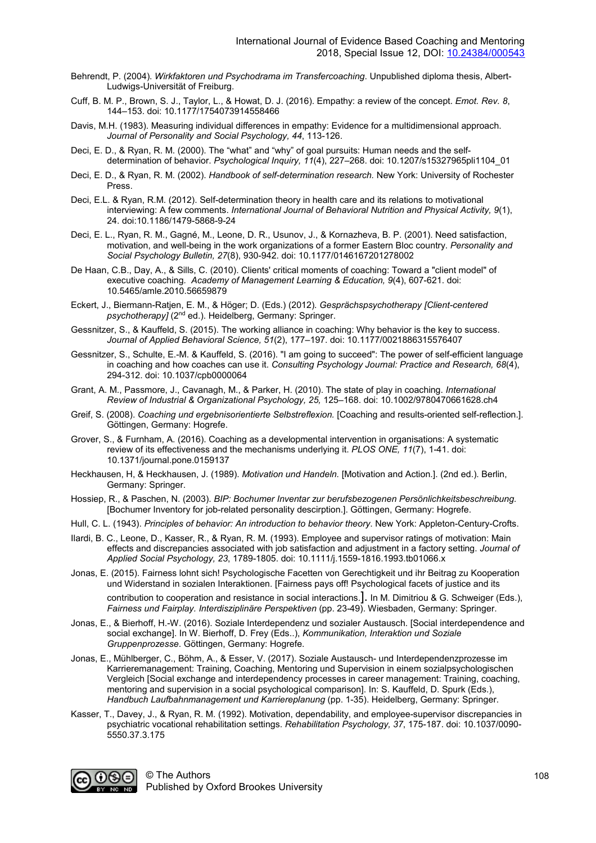- Behrendt, P. (2004). *Wirkfaktoren und Psychodrama im Transfercoaching*. Unpublished diploma thesis, Albert-Ludwigs-Universität of Freiburg.
- Cuff, B. M. P., Brown, S. J., Taylor, L., & Howat, D. J. (2016). Empathy: a review of the concept. *Emot. Rev. 8*, 144–153. doi: 10.1177/1754073914558466
- Davis, M.H. (1983). Measuring individual differences in empathy: Evidence for a multidimensional approach. *Journal of Personality and Social Psychology, 44*, 113-126.
- Deci, E. D., & Ryan, R. M. (2000). The "what" and "why" of goal pursuits: Human needs and the selfdetermination of behavior. *Psychological Inquiry, 11*(4), 227–268. doi: 10.1207/s15327965pli1104\_01
- Deci, E. D., & Ryan, R. M. (2002). *Handbook of self-determination research.* New York: University of Rochester Press.
- Deci, E.L. & Ryan, R.M. (2012). Self-determination theory in health care and its relations to motivational interviewing: A few comments. *International Journal of Behavioral Nutrition and Physical Activity, 9*(1), 24. doi:10.1186/1479-5868-9-24
- Deci, E. L., Ryan, R. M., Gagné, M., Leone, D. R., Usunov, J., & Kornazheva, B. P. (2001). Need satisfaction, motivation, and well-being in the work organizations of a former Eastern Bloc country. *Personality and Social Psychology Bulletin, 27*(8), 930-942. doi: 10.1177/0146167201278002
- De Haan, C.B., Day, A., & Sills, C. (2010). Clients' critical moments of coaching: Toward a "client model" of executive coaching*. Academy of Management Learning & Education, 9*(4), 607-621. doi: 10.5465/amle.2010.56659879
- Eckert, J., Biermann-Ratjen, E. M., & Höger; D. (Eds.) (2012). *Gesprächspsychotherapy [Client-centered psychotherapy]* (2nd ed.). Heidelberg, Germany: Springer.
- Gessnitzer, S., & Kauffeld, S. (2015). The working alliance in coaching: Why behavior is the key to success. *Journal of Applied Behavioral Science, 51*(2), 177–197. doi: 10.1177/0021886315576407
- Gessnitzer, S., Schulte, E.-M. & Kauffeld, S. (2016). "I am going to succeed": The power of self-efficient language in coaching and how coaches can use it. *Consulting Psychology Journal: Practice and Research, 68*(4), 294-312. doi: 10.1037/cpb0000064
- Grant, A. M., Passmore, J., Cavanagh, M., & Parker, H. (2010). The state of play in coaching. *International Review of Industrial & Organizational Psychology, 25,* 125–168. doi: 10.1002/9780470661628.ch4
- Greif, S. (2008). *Coaching und ergebnisorientierte Selbstreflexion.* [Coaching and results-oriented self-reflection.]. Göttingen, Germany: Hogrefe.
- Grover, S., & Furnham, A. (2016). Coaching as a developmental intervention in organisations: A systematic review of its effectiveness and the mechanisms underlying it. *PLOS ONE, 11*(7), 1-41. doi: 10.1371/journal.pone.0159137
- Heckhausen, H, & Heckhausen, J. (1989). *Motivation und Handeln.* [Motivation and Action.]. (2nd ed.). Berlin, Germany: Springer.
- Hossiep, R., & Paschen, N. (2003). *BIP: Bochumer Inventar zur berufsbezogenen Persönlichkeitsbeschreibung.* [Bochumer Inventory for job-related personality descirption.]. Göttingen, Germany: Hogrefe.
- Hull, C. L. (1943). *Principles of behavior: An introduction to behavior theory*. New York: Appleton-Century-Crofts.
- Ilardi, B. C., Leone, D., Kasser, R., & Ryan, R. M. (1993). Employee and supervisor ratings of motivation: Main effects and discrepancies associated with job satisfaction and adjustment in a factory setting. *Journal of Applied Social Psychology, 23*, 1789-1805. doi: 10.1111/j.1559-1816.1993.tb01066.x
- Jonas, E. (2015). Fairness lohnt sich! Psychologische Facetten von Gerechtigkeit und ihr Beitrag zu Kooperation und Widerstand in sozialen Interaktionen. [Fairness pays off! Psychological facets of justice and its contribution to cooperation and resistance in social interactions.]. In M. Dimitriou & G. Schweiger (Eds.), *Fairness und Fairplay. Interdisziplinäre Perspektiven* (pp. 23-49). Wiesbaden, Germany: Springer.
- Jonas, E., & Bierhoff, H.-W. (2016). Soziale Interdependenz und sozialer Austausch. [Social interdependence and social exchange]. In W. Bierhoff, D. Frey (Eds..), *Kommunikation, Interaktion und Soziale Gruppenprozesse*. Göttingen, Germany: Hogrefe.
- Jonas, E., Mühlberger, C., Böhm, A., & Esser, V. (2017). Soziale Austausch- und Interdependenzprozesse im Karrieremanagement: Training, Coaching, Mentoring und Supervision in einem sozialpsychologischen Vergleich [Social exchange and interdependency processes in career management: Training, coaching, mentoring and supervision in a social psychological comparison]. In: S. Kauffeld, D. Spurk (Eds.), *Handbuch Laufbahnmanagement und Karriereplanung* (pp. 1-35). Heidelberg, Germany: Springer.
- Kasser, T., Davey, J., & Ryan, R. M. (1992). Motivation, dependability, and employee-supervisor discrepancies in psychiatric vocational rehabilitation settings. *Rehabilitation Psychology, 37*, 175-187. doi: 10.1037/0090- 5550.37.3.175

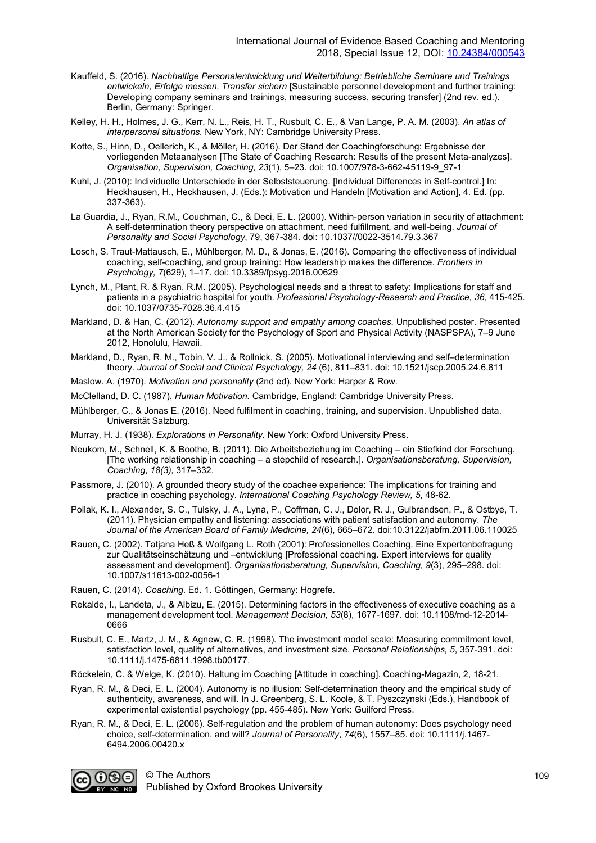- Kauffeld, S. (2016). *Nachhaltige Personalentwicklung und Weiterbildung: Betriebliche Seminare und Trainings entwickeln, Erfolge messen, Transfer sichern* [Sustainable personnel development and further training: Developing company seminars and trainings, measuring success, securing transfer] (2nd rev. ed.). Berlin, Germany: Springer.
- Kelley, H. H., Holmes, J. G., Kerr, N. L., Reis, H. T., Rusbult, C. E., & Van Lange, P. A. M. (2003). *An atlas of interpersonal situations.* New York, NY: Cambridge University Press.
- Kotte, S., Hinn, D., Oellerich, K., & Möller, H. (2016). Der Stand der Coachingforschung: Ergebnisse der vorliegenden Metaanalysen [The State of Coaching Research: Results of the present Meta-analyzes]. *Organisation, Supervision, Coaching, 23*(1), 5–23. doi: 10.1007/978-3-662-45119-9\_97-1
- Kuhl, J. (2010): Individuelle Unterschiede in der Selbststeuerung. [Individual Differences in Self-control.] In: Heckhausen, H., Heckhausen, J. (Eds.): Motivation und Handeln [Motivation and Action], 4. Ed. (pp. 337-363).
- La Guardia, J., Ryan, R.M., Couchman, C., & Deci, E. L. (2000). Within-person variation in security of attachment: A self-determination theory perspective on attachment, need fulfillment, and well-being. *Journal of Personality and Social Psychology*, 79, 367-384. doi: 10.1037//0022-3514.79.3.367
- Losch, S. Traut-Mattausch, E., Mühlberger, M. D., & Jonas, E. (2016). Comparing the effectiveness of individual coaching, self-coaching, and group training: How leadership makes the difference. *Frontiers in Psychology, 7*(629), 1–17. doi: 10.3389/fpsyg.2016.00629
- Lynch, M., Plant, R. & Ryan, R.M. (2005). Psychological needs and a threat to safety: Implications for staff and patients in a psychiatric hospital for youth. *Professional Psychology-Research and Practice*, *36*, 415-425. doi: 10.1037/0735-7028.36.4.415
- Markland, D. & Han, C. (2012). *Autonomy support and empathy among coaches.* Unpublished poster. Presented at the North American Society for the Psychology of Sport and Physical Activity (NASPSPA), 7–9 June 2012, Honolulu, Hawaii.
- Markland, D., Ryan, R. M., Tobin, V. J., & Rollnick, S. (2005). Motivational interviewing and self–determination theory. *Journal of Social and Clinical Psychology, 24* (6), 811–831. doi: 10.1521/jscp.2005.24.6.811
- Maslow. A. (1970). *Motivation and personality* (2nd ed). New York: Harper & Row.
- McClelland, D. C. (1987), *Human Motivation.* Cambridge, England: Cambridge University Press.
- Mühlberger, C., & Jonas E. (2016). Need fulfilment in coaching, training, and supervision. Unpublished data. Universität Salzburg.
- Murray, H. J. (1938). *Explorations in Personality.* New York: Oxford University Press.
- Neukom, M., Schnell, K. & Boothe, B. (2011). Die Arbeitsbeziehung im Coaching ein Stiefkind der Forschung. [The working relationship in coaching – a stepchild of research.]. *Organisationsberatung, Supervision, Coaching*, *18(3),* 317–332.
- Passmore, J. (2010). A grounded theory study of the coachee experience: The implications for training and practice in coaching psychology. *International Coaching Psychology Review, 5*, 48-62.
- Pollak, K. I., Alexander, S. C., Tulsky, J. A., Lyna, P., Coffman, C. J., Dolor, R. J., Gulbrandsen, P., & Ostbye, T. (2011). Physician empathy and listening: associations with patient satisfaction and autonomy. *The Journal of the American Board of Family Medicine, 24*(6), 665–672. doi:10.3122/jabfm.2011.06.110025
- Rauen, C. (2002). Tatjana Heß & Wolfgang L. Roth (2001): Professionelles Coaching. Eine Expertenbefragung zur Qualitätseinschätzung und –entwicklung [Professional coaching. Expert interviews for quality assessment and development]. *Organisationsberatung, Supervision, Coaching, 9*(3), 295–298. doi: 10.1007/s11613-002-0056-1
- Rauen, C. (2014). *Coaching*. Ed. 1. Göttingen, Germany: Hogrefe.
- Rekalde, I., Landeta, J., & Albizu, E. (2015). Determining factors in the effectiveness of executive coaching as a management development tool. *Management Decision, 53*(8), 1677-1697. doi: 10.1108/md-12-2014- 0666
- Rusbult, C. E., Martz, J. M., & Agnew, C. R. (1998). The investment model scale: Measuring commitment level, satisfaction level, quality of alternatives, and investment size. *Personal Relationships, 5*, 357-391. doi: 10.1111/j.1475-6811.1998.tb00177.
- Röckelein, C. & Welge, K. (2010). Haltung im Coaching [Attitude in coaching]. Coaching-Magazin, 2, 18-21.
- Ryan, R. M., & Deci, E. L. (2004). Autonomy is no illusion: Self-determination theory and the empirical study of authenticity, awareness, and will. In J. Greenberg, S. L. Koole, & T. Pyszczynski (Eds.), Handbook of experimental existential psychology (pp. 455-485). New York: Guilford Press.
- Ryan, R. M., & Deci, E. L. (2006). Self-regulation and the problem of human autonomy: Does psychology need choice, self-determination, and will? *Journal of Personality*, *74*(6), 1557–85. doi: 10.1111/j.1467- 6494.2006.00420.x



© The Authors Published by Oxford Brookes University